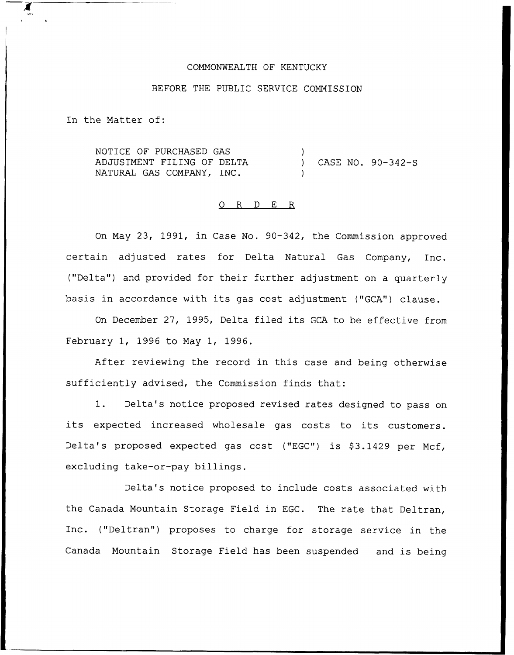#### COMMONWEALTH OF KENTUCKY

# BEFORE THE PUBLIC SERVICE COMMISSION

In the Matter of:

NOTICE OF PURCHASED GAS ADJUSTMENT FILING OF DELTA NATURAL GAS COMPANY, INC. ) ) CASE NO. 90-342-S )

## O R D E R

On May 23, 1991, in Case No. 90-342, the Commission approved certain adjusted rates for Delta Natural Gas Company, Inc. ("Delta") and provided for their further adjustment on a quarterly basis in accordance with its gas cost adjustment ("GCA") clause.

On December 27, 1995, Delta filed its GCA to be effective from February 1, 1996 to May 1, 1996.

After reviewing the record in this case and being otherwise sufficiently advised, the Commission finds that:

1. Delta's notice proposed revised rates designed to pass on its expected increased wholesale gas costs to its customers. Delta's proposed expected gas cost ("EGC") is \$3.1429 per Mcf, excluding take-or-pay billings.

Delta's notice proposed to include costs associated with the Canada Mountain Storage Field in EGC. The rate that Deltran, Inc. ("Deltran") proposes to charge for storage service in the Canada Mountain Storage Field has been suspended and is being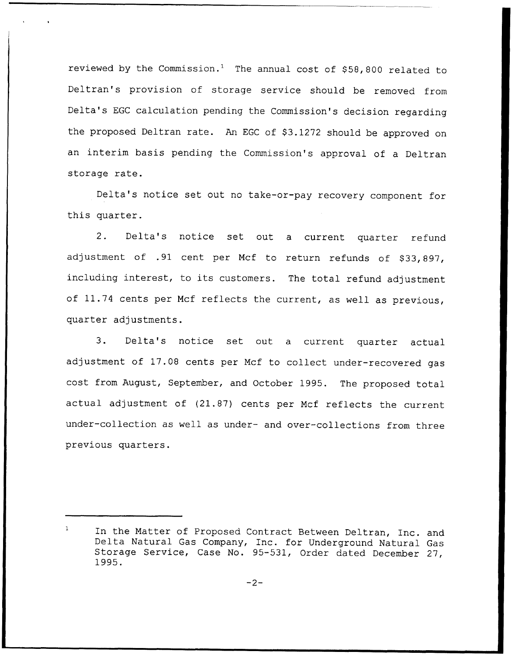reviewed by the Commission.<sup>1</sup> The annual cost of  $$58,800$  related to Deltran's provision of storage service should be removed from Delta's EGC calculation pending the Commission's decision regarding the proposed Deltran rate. An EGC of \$3.1272 should be approved on an interim basis pending the Commission's approval of a Deltran storage rate.

Delta's notice set out no take-or-pay recovery component for this quarter.

2. Delta's notice set out <sup>a</sup> current quarter refund adjustment of .91 cent per Mcf to return refunds of \$33,897, including interest, to its customers. The total refund adjustment of 11.74 cents per Mcf reflects the current, as well as previous, quarter adjustments.

3. Delta's notice set out <sup>a</sup> current quarter actual adjustment of 17.08 cents per Mcf to collect under-recovered gas cost from August, September, and October 1995. The proposed total actual adjustment of (21.87) cents per Mcf reflects the current under-collection as well as under- and over-collections from three previous quarters.

 $\mathbf{1}$ In the Matter of Proposed Contract Between Deltran, Inc. and Delta Natural Gas Company, Inc. for Underground Natural Gas Storage Service, Case No. 95-531, Order dated December 27, 1995.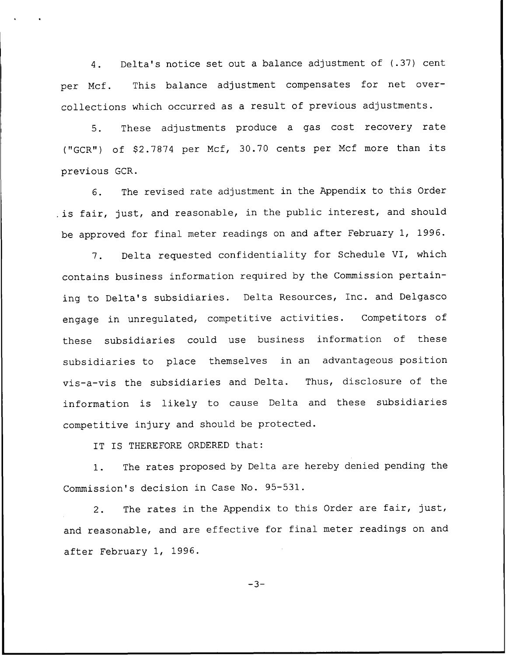4. Delta's notice set out a balance adjustment of (.37) cent per Mcf. This balance adjustment compensates for net overcollections which occurred as <sup>a</sup> result of previous adjustments.

5. These adjustments produce <sup>a</sup> gas cost recovery rate ("GCR") of \$2.7874 per Mcf, 30.70 cents per Mcf more than its previous GCR.

6. The revised rate adjustment in the Appendix to this Order , is fair, just, and reasonable, in the public interest, and should be approved for final meter readings on and after February 1, 1996.

7. Delta requested confidentiality for Schedule VI, which contains business information required by the Commission pertaining to Delta's subsidiaries. Delta Resources, Inc. and Delgasco engage in unregulated, competitive activities. Competitors of these subsidiaries could use business information of these subsidiaries to place themselves in an advantageous position vis-a-vis the subsidiaries and Delta. Thus, disclosure of the information is likely to cause Delta and these subsidiaries competitive injury and should be protected.

IT IS THEREFORE ORDERED that:

1. The rates proposed by Delta are hereby denied pending the Commission's decision in Case No. 95-531.

2. The rates in the Appendix to this Order are fair, just, and reasonable, and are effective for final meter readings on and after February 1, 1996.

 $-3-$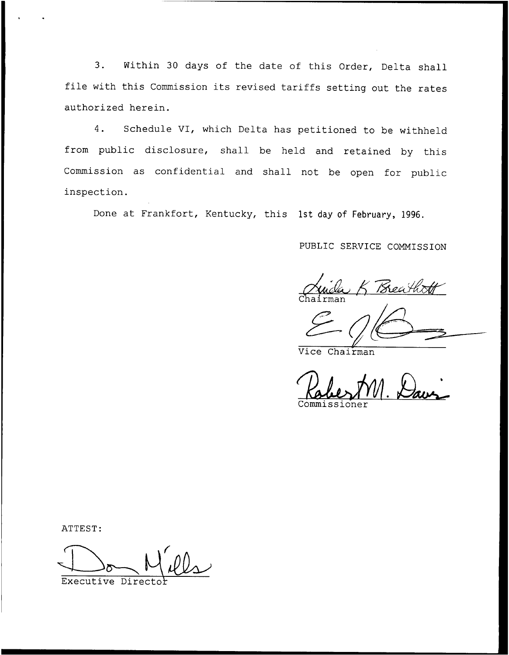3. Within <sup>30</sup> days of the date of this Order, Delta shall file with this Commission its revised tariffs setting out the rates authorized herein.

4. Schedule VI, which Delta has petitioned to be withheld from public disclosure, shall be held and retained by this Commission as confidential and shall not be open for public inspection.

Done at Frankfort, Kentucky, this 1st day of February, 1996.

# PUBLIC SERVICE COMMISSION

Breathr  $Chalrma$ 

Vice Chairman

Commissione

ATTEST

Executive Directo